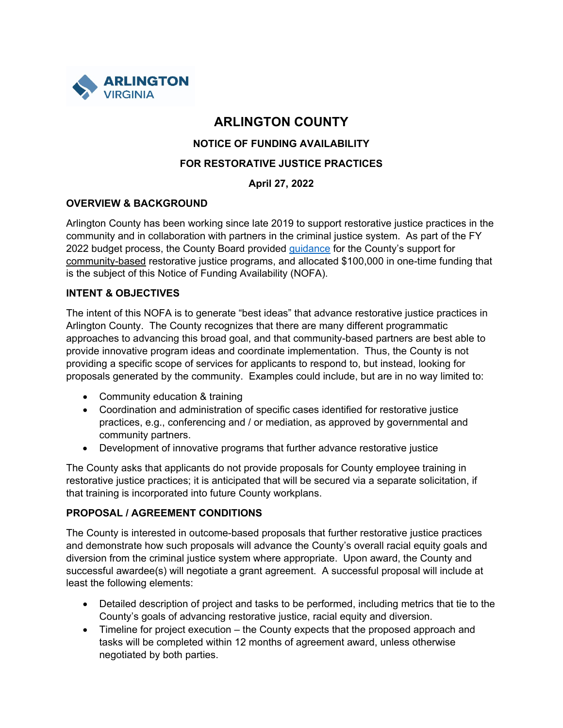

# **ARLINGTON COUNTY**

## **NOTICE OF FUNDING AVAILABILITY**

#### **FOR RESTORATIVE JUSTICE PRACTICES**

## **April 27, 2022**

#### **OVERVIEW & BACKGROUND**

Arlington County has been working since late 2019 to support restorative justice practices in the community and in collaboration with partners in the criminal justice system. As part of the FY 2022 budget process, the County Board provided [guidance](https://www.arlingtonva.us/files/sharedassets/public/budget/documents/final-cbo-fy-2022-budgetguidance.pdf) for the County's support for community-based restorative justice programs, and allocated \$100,000 in one-time funding that is the subject of this Notice of Funding Availability (NOFA).

#### **INTENT & OBJECTIVES**

The intent of this NOFA is to generate "best ideas" that advance restorative justice practices in Arlington County. The County recognizes that there are many different programmatic approaches to advancing this broad goal, and that community-based partners are best able to provide innovative program ideas and coordinate implementation. Thus, the County is not providing a specific scope of services for applicants to respond to, but instead, looking for proposals generated by the community. Examples could include, but are in no way limited to:

- Community education & training
- Coordination and administration of specific cases identified for restorative justice practices, e.g., conferencing and / or mediation, as approved by governmental and community partners.
- Development of innovative programs that further advance restorative justice

The County asks that applicants do not provide proposals for County employee training in restorative justice practices; it is anticipated that will be secured via a separate solicitation, if that training is incorporated into future County workplans.

#### **PROPOSAL / AGREEMENT CONDITIONS**

The County is interested in outcome-based proposals that further restorative justice practices and demonstrate how such proposals will advance the County's overall racial equity goals and diversion from the criminal justice system where appropriate. Upon award, the County and successful awardee(s) will negotiate a grant agreement. A successful proposal will include at least the following elements:

- Detailed description of project and tasks to be performed, including metrics that tie to the County's goals of advancing restorative justice, racial equity and diversion.
- Timeline for project execution the County expects that the proposed approach and tasks will be completed within 12 months of agreement award, unless otherwise negotiated by both parties.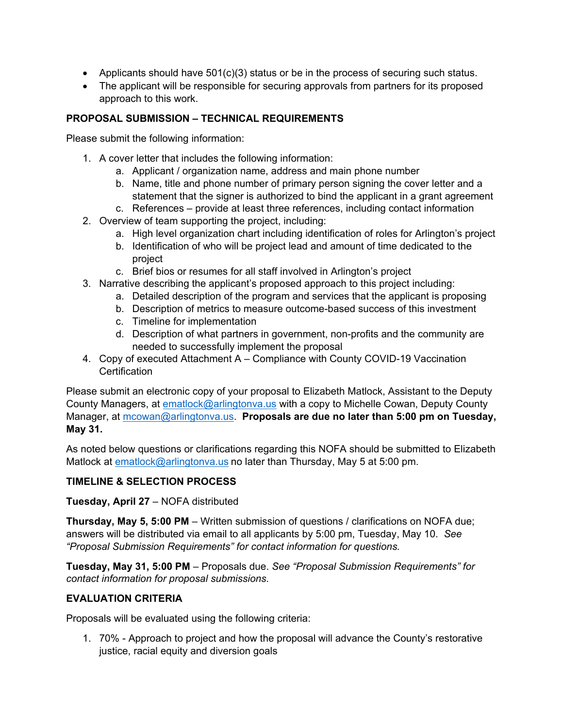- Applicants should have  $501(c)(3)$  status or be in the process of securing such status.
- The applicant will be responsible for securing approvals from partners for its proposed approach to this work.

## **PROPOSAL SUBMISSION – TECHNICAL REQUIREMENTS**

Please submit the following information:

- 1. A cover letter that includes the following information:
	- a. Applicant / organization name, address and main phone number
	- b. Name, title and phone number of primary person signing the cover letter and a statement that the signer is authorized to bind the applicant in a grant agreement
	- c. References provide at least three references, including contact information
- 2. Overview of team supporting the project, including:
	- a. High level organization chart including identification of roles for Arlington's project
	- b. Identification of who will be project lead and amount of time dedicated to the project
	- c. Brief bios or resumes for all staff involved in Arlington's project
- 3. Narrative describing the applicant's proposed approach to this project including:
	- a. Detailed description of the program and services that the applicant is proposing
	- b. Description of metrics to measure outcome-based success of this investment
	- c. Timeline for implementation
	- d. Description of what partners in government, non-profits and the community are needed to successfully implement the proposal
- 4. Copy of executed Attachment A Compliance with County COVID-19 Vaccination **Certification**

Please submit an electronic copy of your proposal to Elizabeth Matlock, Assistant to the Deputy County Managers, at **ematlock@arlingtonva.us** with a copy to Michelle Cowan, Deputy County Manager, at [mcowan@arlingtonva.us.](mailto:mcowan@arlingtonva.us) **Proposals are due no later than 5:00 pm on Tuesday, May 31.**

As noted below questions or clarifications regarding this NOFA should be submitted to Elizabeth Matlock at [ematlock@arlingtonva.us](mailto:ematlock@arlingtonva.us) no later than Thursday, May 5 at 5:00 pm.

## **TIMELINE & SELECTION PROCESS**

**Tuesday, April 27** – NOFA distributed

**Thursday, May 5, 5:00 PM** – Written submission of questions / clarifications on NOFA due; answers will be distributed via email to all applicants by 5:00 pm, Tuesday, May 10. *See "Proposal Submission Requirements" for contact information for questions.* 

**Tuesday, May 31, 5:00 PM** – Proposals due. *See "Proposal Submission Requirements" for contact information for proposal submissions.*

## **EVALUATION CRITERIA**

Proposals will be evaluated using the following criteria:

1. 70% - Approach to project and how the proposal will advance the County's restorative justice, racial equity and diversion goals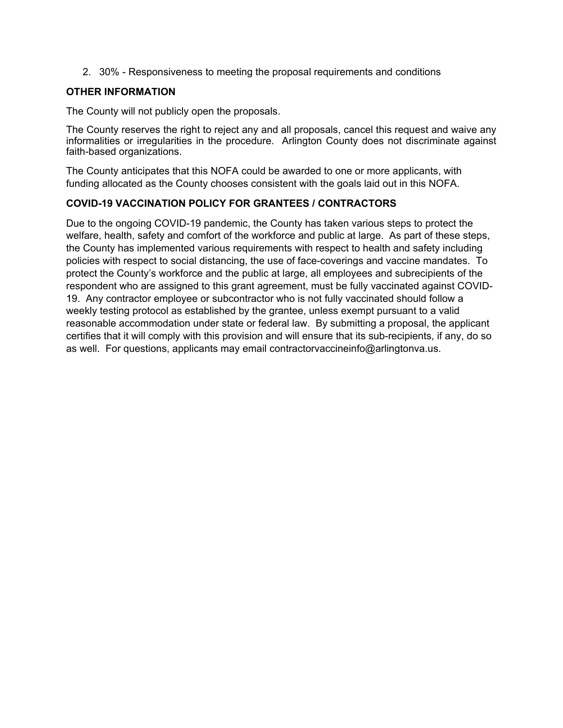2. 30% - Responsiveness to meeting the proposal requirements and conditions

#### **OTHER INFORMATION**

The County will not publicly open the proposals.

The County reserves the right to reject any and all proposals, cancel this request and waive any informalities or irregularities in the procedure. Arlington County does not discriminate against faith-based organizations.

The County anticipates that this NOFA could be awarded to one or more applicants, with funding allocated as the County chooses consistent with the goals laid out in this NOFA.

#### **COVID-19 VACCINATION POLICY FOR GRANTEES / CONTRACTORS**

Due to the ongoing COVID-19 pandemic, the County has taken various steps to protect the welfare, health, safety and comfort of the workforce and public at large. As part of these steps, the County has implemented various requirements with respect to health and safety including policies with respect to social distancing, the use of face-coverings and vaccine mandates. To protect the County's workforce and the public at large, all employees and subrecipients of the respondent who are assigned to this grant agreement, must be fully vaccinated against COVID-19. Any contractor employee or subcontractor who is not fully vaccinated should follow a weekly testing protocol as established by the grantee, unless exempt pursuant to a valid reasonable accommodation under state or federal law. By submitting a proposal, the applicant certifies that it will comply with this provision and will ensure that its sub-recipients, if any, do so as well. For questions, applicants may email contractorvaccineinfo@arlingtonva.us.